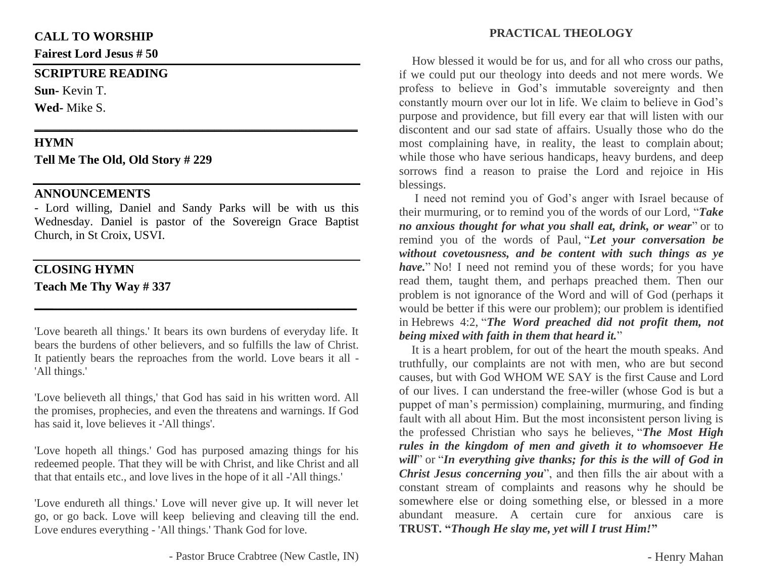### **CALL TO WORSHIP**

**Fairest Lord Jesus # 50**

#### **SCRIPTURE READING**

**Sun-** Kevin T.

**Wed-** Mike S.

### **HYMN**

**Tell Me The Old, Old Story # 229**

## **ANNOUNCEMENTS**

- Lord willing, Daniel and Sandy Parks will be with us this Wednesday. Daniel is pastor of the Sovereign Grace Baptist Church, in St Croix, USVI.

**\_\_\_\_\_\_\_\_\_\_\_\_\_\_\_\_\_\_\_\_\_\_\_\_\_\_\_\_\_\_\_\_\_\_\_\_\_\_\_\_\_\_\_\_\_\_\_\_\_\_\_\_**

## **CLOSING HYMN**

**Teach Me Thy Way # 337**

'Love beareth all things.' It bears its own burdens of everyday life. It bears the burdens of other believers, and so fulfills the law of Christ. It patiently bears the reproaches from the world. Love bears it all - 'All things.'

**\_\_\_\_\_\_\_\_\_\_\_\_\_\_\_\_\_\_\_\_\_\_\_\_\_\_\_\_\_\_\_\_\_\_\_\_\_\_\_\_\_\_\_\_\_\_\_\_\_\_**

'Love believeth all things,' that God has said in his written word. All the promises, prophecies, and even the threatens and warnings. If God has said it, love believes it -'All things'.

'Love hopeth all things.' God has purposed amazing things for his redeemed people. That they will be with Christ, and like Christ and all that that entails etc., and love lives in the hope of it all -'All things.'

'Love endureth all things.' Love will never give up. It will never let go, or go back. Love will keep believing and cleaving till the end. Love endures everything - 'All things.' Thank God for love.

How blessed it would be for us, and for all who cross our paths, if we could put our theology into deeds and not mere words. We profess to believe in God's immutable sovereignty and then constantly mourn over our lot in life. We claim to believe in God's purpose and providence, but fill every ear that will listen with our discontent and our sad state of affairs. Usually those who do the most complaining have, in reality, the least to complain about; while those who have serious handicaps, heavy burdens, and deep sorrows find a reason to praise the Lord and rejoice in His blessings.

I need not remind you of God's anger with Israel because of their murmuring, or to remind you of the words of our Lord, "*Take no anxious thought for what you shall eat, drink, or wear*" or to remind you of the words of Paul, "*Let your conversation be without covetousness, and be content with such things as ye have.*" No! I need not remind you of these words; for you have read them, taught them, and perhaps preached them. Then our problem is not ignorance of the Word and will of God (perhaps it would be better if this were our problem); our problem is identified in Hebrews 4:2, "*The Word preached did not profit them, not being mixed with faith in them that heard it.*"

 It is a heart problem, for out of the heart the mouth speaks. And truthfully, our complaints are not with men, who are but second causes, but with God WHOM WE SAY is the first Cause and Lord of our lives. I can understand the free-willer (whose God is but a puppet of man's permission) complaining, murmuring, and finding fault with all about Him. But the most inconsistent person living is the professed Christian who says he believes, "*The Most High rules in the kingdom of men and giveth it to whomsoever He will*" or "*In everything give thanks; for this is the will of God in Christ Jesus concerning you*", and then fills the air about with a constant stream of complaints and reasons why he should be somewhere else or doing something else, or blessed in a more abundant measure. A certain cure for anxious care is **TRUST. "***Though He slay me, yet will I trust Him!***"**